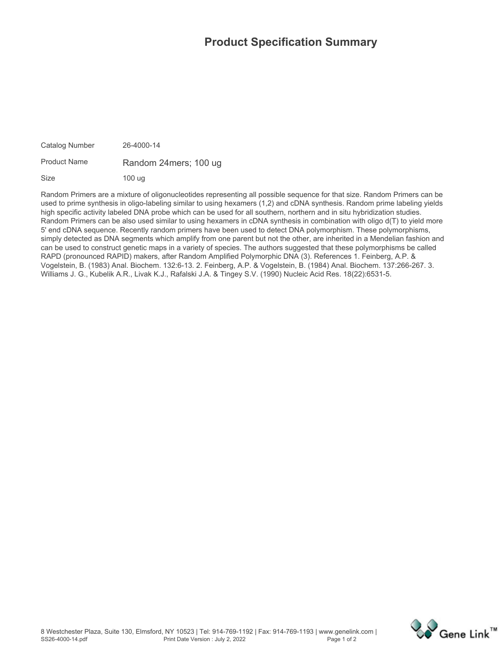## **Product Specification Summary**

**Catalog Number 26-4000-14 Product Name Random 24mers; 100 ug**

**Size 100 ug**

**Random Primers are a mixture of oligonucleotides representing all possible sequence for that size. Random Primers can be used to prime synthesis in oligo-labeling similar to using hexamers (1,2) and cDNA synthesis. Random prime labeling yields high specific activity labeled DNA probe which can be used for all southern, northern and in situ hybridization studies. Random Primers can be also used similar to using hexamers in cDNA synthesis in combination with oligo d(T) to yield more 5' end cDNA sequence. Recently random primers have been used to detect DNA polymorphism. These polymorphisms, simply detected as DNA segments which amplify from one parent but not the other, are inherited in a Mendelian fashion and can be used to construct genetic maps in a variety of species. The authors suggested that these polymorphisms be called RAPD (pronounced RAPID) makers, after Random Amplified Polymorphic DNA (3). References 1. Feinberg, A.P. & Vogelstein, B. (1983) Anal. Biochem. 132:6-13. 2. Feinberg, A.P. & Vogelstein, B. (1984) Anal. Biochem. 137:266-267. 3. Williams J. G., Kubelik A.R., Livak K.J., Rafalski J.A. & Tingey S.V. (1990) Nucleic Acid Res. 18(22):6531-5.**